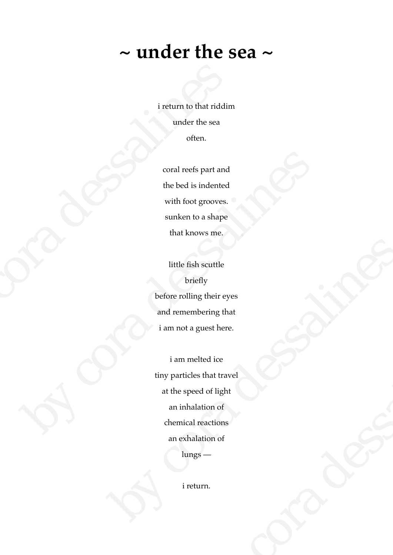## **~ under the sea ~**

i return to that riddim under the sea often.

coral reefs part and the bed is indented with foot grooves. sunken to a shape that knows me.

little fish scuttle briefly before rolling their eyes and remembering that i am not a guest here. i return to that riddim<br>
under the sea<br>
often.<br>
coral reefs part and<br>
the bed is indented<br>
with foot grooves.<br>
sunken to a shape<br>
that knows me.<br>
little fish scuttle<br>
briefly<br>
before rolling their eye:<br>
and remembering tha

i am melted ice tiny particles that travel at the speed of light an inhalation of chemical reactions an exhalation of lungs coral reefs part and<br>the bed is indented<br>with foot grooves.<br>sunken to a shape<br>that knows me.<br>Hittle fish scuttle<br>briefly<br>before rolling their eyes<br>and remembering that<br>i am mol a guest here.<br>i am melled ice<br>tiny particles little fish scuttle<br>
briefly<br>
before rolling their eyes<br>
and remembering that<br>
i am not a guest here.<br>
i am melted ice<br>
tiny particles that travel<br>
at the speed of light<br>
an inhalation of<br>
chemical reactions<br>
an exhalation guest here.<br>
elted ice<br>
es that travel<br>
eed of light<br>
laation of<br>
l reactions<br>
alation of<br>
gs—<br>
turn.

i return.